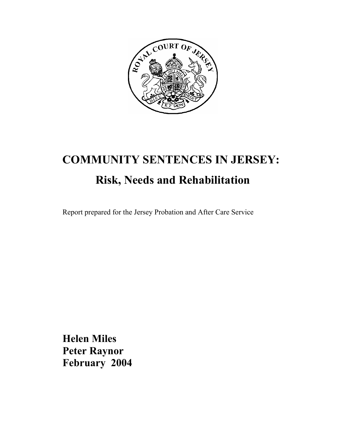

# **COMMUNITY SENTENCES IN JERSEY: Risk, Needs and Rehabilitation**

Report prepared for the Jersey Probation and After Care Service

**Helen Miles Peter Raynor February 2004**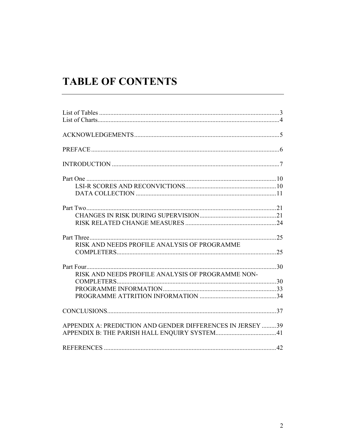## **TABLE OF CONTENTS**

| RISK AND NEEDS PROFILE ANALYSIS OF PROGRAMME               |  |
|------------------------------------------------------------|--|
|                                                            |  |
|                                                            |  |
| RISK AND NEEDS PROFILE ANALYSIS OF PROGRAMME NON-          |  |
|                                                            |  |
|                                                            |  |
|                                                            |  |
|                                                            |  |
| APPENDIX A: PREDICTION AND GENDER DIFFERENCES IN JERSEY 39 |  |
|                                                            |  |
|                                                            |  |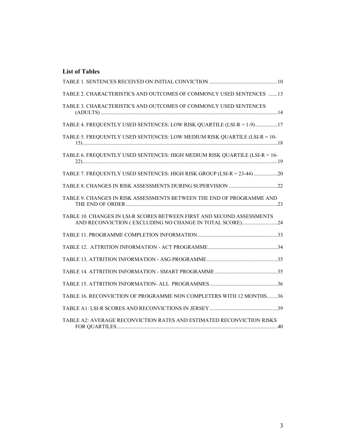#### **List of Tables**

| TABLE 2. CHARACTERISTICS AND OUTCOMES OF COMMONLY USED SENTENCES 13                                                               |  |
|-----------------------------------------------------------------------------------------------------------------------------------|--|
| TABLE 3. CHARACTERISTICS AND OUTCOMES OF COMMONLY USED SENTENCES                                                                  |  |
| TABLE 4. FREQUENTLY USED SENTENCES: LOW RISK QUARTILE (LSI-R = 1-9)17                                                             |  |
| TABLE 5. FREQUENTLY USED SENTENCES: LOW MEDIUM RISK QUARTILE (LSI-R = 10-                                                         |  |
| TABLE 6. FREQUENTLY USED SENTENCES: HIGH MEDIUM RISK QUARTILE (LSI-R = 16-                                                        |  |
| TABLE 7. FREQUENTLY USED SENTENCES: HIGH RISK GROUP (LSI-R = 23-44) 20                                                            |  |
|                                                                                                                                   |  |
| TABLE 9. CHANGES IN RISK ASSESSMENTS BETWEEN THE END OF PROGRAMME AND                                                             |  |
| TABLE 10. CHANGES IN LSI-R SCORES BETWEEN FIRST AND SECOND ASSESSMENTS<br>AND RECONVICTION (EXCLUDING NO CHANGE IN TOTAL SCORE)24 |  |
|                                                                                                                                   |  |
|                                                                                                                                   |  |
|                                                                                                                                   |  |
|                                                                                                                                   |  |
|                                                                                                                                   |  |
| TABLE 16. RECONVICTION OF PROGRAMME NON COMPLETERS WITH 12 MONTHS36                                                               |  |
|                                                                                                                                   |  |
| TABLE A2: AVERAGE RECONVICTION RATES AND ESTIMATED RECONVICTION RISKS                                                             |  |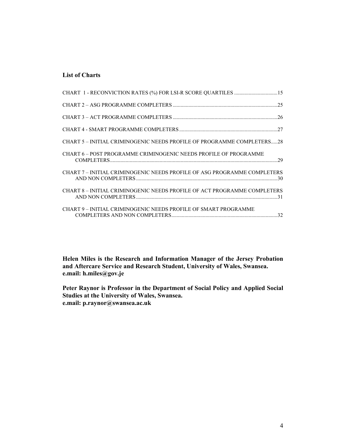#### **List of Charts**

| CHART 5 – INITIAL CRIMINOGENIC NEEDS PROFILE OF PROGRAMME COMPLETERS28   |  |
|--------------------------------------------------------------------------|--|
| CHART 6-POST PROGRAMME CRIMINOGENIC NEEDS PROFILE OF PROGRAMME           |  |
| CHART 7 - INITIAL CRIMINOGENIC NEEDS PROFILE OF ASG PROGRAMME COMPLETERS |  |
| CHART 8 - INITIAL CRIMINOGENIC NEEDS PROFILE OF ACT PROGRAMME COMPLETERS |  |
| CHART 9 - INITIAL CRIMINOGENIC NEEDS PROFILE OF SMART PROGRAMME          |  |

**Helen Miles is the Research and Information Manager of the Jersey Probation and Aftercare Service and Research Student, University of Wales, Swansea. e.mail: h.miles@gov.je** 

**Peter Raynor is Professor in the Department of Social Policy and Applied Social Studies at the University of Wales, Swansea. e.mail: p.raynor@swansea.ac.uk**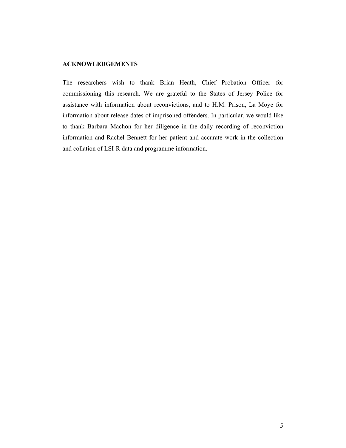#### **ACKNOWLEDGEMENTS**

The researchers wish to thank Brian Heath, Chief Probation Officer for commissioning this research. We are grateful to the States of Jersey Police for assistance with information about reconvictions, and to H.M. Prison, La Moye for information about release dates of imprisoned offenders. In particular, we would like to thank Barbara Machon for her diligence in the daily recording of reconviction information and Rachel Bennett for her patient and accurate work in the collection and collation of LSI-R data and programme information.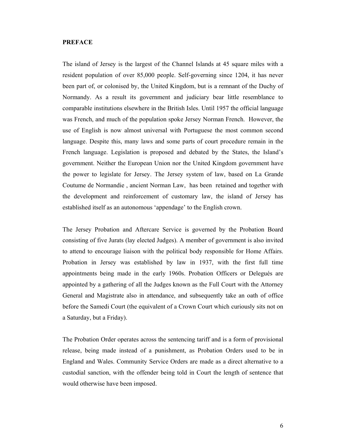#### **PREFACE**

The island of Jersey is the largest of the Channel Islands at 45 square miles with a resident population of over 85,000 people. Self-governing since 1204, it has never been part of, or colonised by, the United Kingdom, but is a remnant of the Duchy of Normandy. As a result its government and judiciary bear little resemblance to comparable institutions elsewhere in the British Isles. Until 1957 the official language was French, and much of the population spoke Jersey Norman French. However, the use of English is now almost universal with Portuguese the most common second language. Despite this, many laws and some parts of court procedure remain in the French language. Legislation is proposed and debated by the States, the Island's government. Neither the European Union nor the United Kingdom government have the power to legislate for Jersey. The Jersey system of law, based on La Grande Coutume de Normandie , ancient Norman Law, has been retained and together with the development and reinforcement of customary law, the island of Jersey has established itself as an autonomous 'appendage' to the English crown.

The Jersey Probation and Aftercare Service is governed by the Probation Board consisting of five Jurats (lay elected Judges). A member of government is also invited to attend to encourage liaison with the political body responsible for Home Affairs. Probation in Jersey was established by law in 1937, with the first full time appointments being made in the early 1960s. Probation Officers or Delegués are appointed by a gathering of all the Judges known as the Full Court with the Attorney General and Magistrate also in attendance, and subsequently take an oath of office before the Samedi Court (the equivalent of a Crown Court which curiously sits not on a Saturday, but a Friday).

The Probation Order operates across the sentencing tariff and is a form of provisional release, being made instead of a punishment, as Probation Orders used to be in England and Wales. Community Service Orders are made as a direct alternative to a custodial sanction, with the offender being told in Court the length of sentence that would otherwise have been imposed.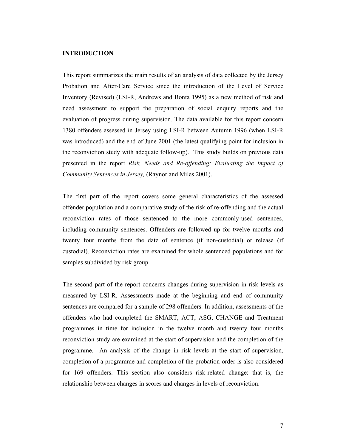#### **INTRODUCTION**

This report summarizes the main results of an analysis of data collected by the Jersey Probation and After-Care Service since the introduction of the Level of Service Inventory (Revised) (LSI-R, Andrews and Bonta 1995) as a new method of risk and need assessment to support the preparation of social enquiry reports and the evaluation of progress during supervision. The data available for this report concern 1380 offenders assessed in Jersey using LSI-R between Autumn 1996 (when LSI-R was introduced) and the end of June 2001 (the latest qualifying point for inclusion in the reconviction study with adequate follow-up). This study builds on previous data presented in the report *Risk, Needs and Re-offending: Evaluating the Impact of Community Sentences in Jersey,* (Raynor and Miles 2001).

The first part of the report covers some general characteristics of the assessed offender population and a comparative study of the risk of re-offending and the actual reconviction rates of those sentenced to the more commonly-used sentences, including community sentences. Offenders are followed up for twelve months and twenty four months from the date of sentence (if non-custodial) or release (if custodial). Reconviction rates are examined for whole sentenced populations and for samples subdivided by risk group.

The second part of the report concerns changes during supervision in risk levels as measured by LSI-R. Assessments made at the beginning and end of community sentences are compared for a sample of 298 offenders. In addition, assessments of the offenders who had completed the SMART, ACT, ASG, CHANGE and Treatment programmes in time for inclusion in the twelve month and twenty four months reconviction study are examined at the start of supervision and the completion of the programme. An analysis of the change in risk levels at the start of supervision, completion of a programme and completion of the probation order is also considered for 169 offenders. This section also considers risk-related change: that is, the relationship between changes in scores and changes in levels of reconviction.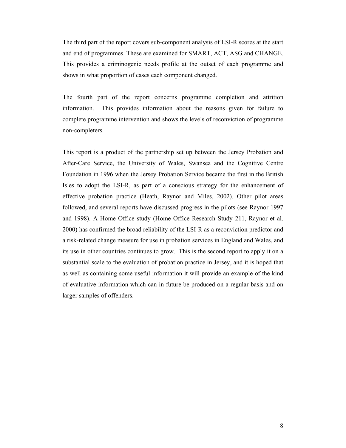The third part of the report covers sub-component analysis of LSI-R scores at the start and end of programmes. These are examined for SMART, ACT, ASG and CHANGE. This provides a criminogenic needs profile at the outset of each programme and shows in what proportion of cases each component changed.

The fourth part of the report concerns programme completion and attrition information. This provides information about the reasons given for failure to complete programme intervention and shows the levels of reconviction of programme non-completers.

This report is a product of the partnership set up between the Jersey Probation and After-Care Service, the University of Wales, Swansea and the Cognitive Centre Foundation in 1996 when the Jersey Probation Service became the first in the British Isles to adopt the LSI-R, as part of a conscious strategy for the enhancement of effective probation practice (Heath, Raynor and Miles, 2002). Other pilot areas followed, and several reports have discussed progress in the pilots (see Raynor 1997 and 1998). A Home Office study (Home Office Research Study 211, Raynor et al. 2000) has confirmed the broad reliability of the LSI-R as a reconviction predictor and a risk-related change measure for use in probation services in England and Wales, and its use in other countries continues to grow. This is the second report to apply it on a substantial scale to the evaluation of probation practice in Jersey, and it is hoped that as well as containing some useful information it will provide an example of the kind of evaluative information which can in future be produced on a regular basis and on larger samples of offenders.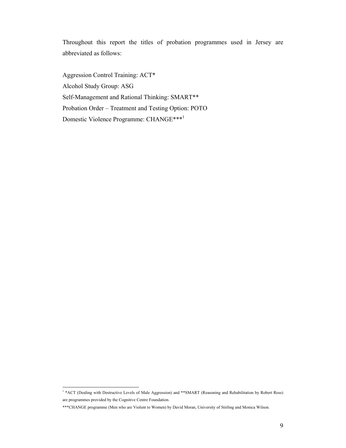Throughout this report the titles of probation programmes used in Jersey are abbreviated as follows:

Aggression Control Training: ACT\* Alcohol Study Group: ASG Self-Management and Rational Thinking: SMART\*\* Probation Order – Treatment and Testing Option: POTO Domestic Violence Programme: CHANGE\*\*\*1

 1 \*ACT (Dealing with Destructive Levels of Male Aggression) and \*\*SMART (Reasoning and Rehabilitation by Robert Ross) are programmes provided by the Cognitive Centre Foundation.

<sup>\*\*\*</sup>CHANGE programme (Men who are Violent to Women) by David Moran, University of Stirling and Monica Wilson.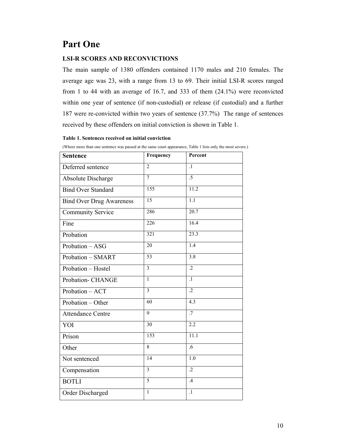## **Part One**

#### **LSI-R SCORES AND RECONVICTIONS**

The main sample of 1380 offenders contained 1170 males and 210 females. The average age was 23, with a range from 13 to 69. Their initial LSI-R scores ranged from 1 to 44 with an average of 16.7, and 333 of them (24.1%) were reconvicted within one year of sentence (if non-custodial) or release (if custodial) and a further 187 were re-convicted within two years of sentence (37.7%) The range of sentences received by these offenders on initial conviction is shown in Table 1.

#### **Table 1. Sentences received on initial conviction**

| <b>Sentence</b>                 | Frequency               | Percent           |
|---------------------------------|-------------------------|-------------------|
| Deferred sentence               | $\overline{2}$          | $\overline{1}$    |
| Absolute Discharge              | $\overline{7}$          | $\overline{.5}$   |
| <b>Bind Over Standard</b>       | $\overline{155}$        | 11.2              |
| <b>Bind Over Drug Awareness</b> | 15                      | 1.1               |
| <b>Community Service</b>        | 286                     | 20.7              |
| Fine                            | $\overline{226}$        | 16.4              |
| Probation                       | $\overline{321}$        | $\overline{23.3}$ |
| Probation - ASG                 | 20                      | 1.4               |
| Probation - SMART               | 53                      | $\overline{3.8}$  |
| Probation - Hostel              | $\overline{3}$          | $\overline{.2}$   |
| Probation- CHANGE               | $\mathbf{1}$            | $\overline{1}$    |
| Probation - ACT                 | $\overline{\mathbf{3}}$ | $\overline{.2}$   |
| Probation - Other               | 60                      | 4.3               |
| <b>Attendance Centre</b>        | $\overline{9}$          | $\overline{.7}$   |
| YOI                             | 30                      | 2.2               |
| Prison                          | 153                     | $\overline{11.1}$ |
| Other                           | 8                       | .6                |
| Not sentenced                   | 14                      | 1.0               |
| Compensation                    | $\overline{3}$          | $\overline{.2}$   |
| <b>BOTLI</b>                    | $\overline{5}$          | .4                |
| Order Discharged                | $\mathbf{1}$            | $\cdot$           |

(Where more than one sentence was passed at the same court appearance, Table 1 lists only the most severe.)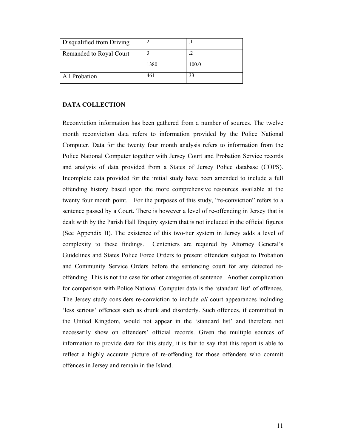| Disqualified from Driving |      |       |
|---------------------------|------|-------|
| Remanded to Royal Court   |      |       |
|                           | 1380 | 100.0 |
| All Probation             | 461  | 33    |

#### **DATA COLLECTION**

Reconviction information has been gathered from a number of sources. The twelve month reconviction data refers to information provided by the Police National Computer. Data for the twenty four month analysis refers to information from the Police National Computer together with Jersey Court and Probation Service records and analysis of data provided from a States of Jersey Police database (COPS). Incomplete data provided for the initial study have been amended to include a full offending history based upon the more comprehensive resources available at the twenty four month point. For the purposes of this study, "re-conviction" refers to a sentence passed by a Court. There is however a level of re-offending in Jersey that is dealt with by the Parish Hall Enquiry system that is not included in the official figures (See Appendix B). The existence of this two-tier system in Jersey adds a level of complexity to these findings. Centeniers are required by Attorney General's Guidelines and States Police Force Orders to present offenders subject to Probation and Community Service Orders before the sentencing court for any detected reoffending. This is not the case for other categories of sentence. Another complication for comparison with Police National Computer data is the 'standard list' of offences. The Jersey study considers re-conviction to include *all* court appearances including 'less serious' offences such as drunk and disorderly. Such offences, if committed in the United Kingdom, would not appear in the 'standard list' and therefore not necessarily show on offenders' official records. Given the multiple sources of information to provide data for this study, it is fair to say that this report is able to reflect a highly accurate picture of re-offending for those offenders who commit offences in Jersey and remain in the Island.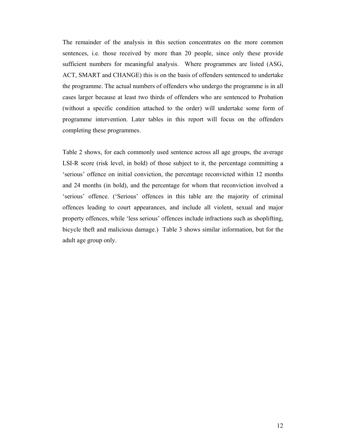The remainder of the analysis in this section concentrates on the more common sentences, i.e. those received by more than 20 people, since only these provide sufficient numbers for meaningful analysis. Where programmes are listed (ASG, ACT, SMART and CHANGE) this is on the basis of offenders sentenced to undertake the programme. The actual numbers of offenders who undergo the programme is in all cases larger because at least two thirds of offenders who are sentenced to Probation (without a specific condition attached to the order) will undertake some form of programme intervention. Later tables in this report will focus on the offenders completing these programmes.

Table 2 shows, for each commonly used sentence across all age groups, the average LSI-R score (risk level, in bold) of those subject to it, the percentage committing a 'serious' offence on initial conviction, the percentage reconvicted within 12 months and 24 months (in bold), and the percentage for whom that reconviction involved a 'serious' offence. ('Serious' offences in this table are the majority of criminal offences leading to court appearances, and include all violent, sexual and major property offences, while 'less serious' offences include infractions such as shoplifting, bicycle theft and malicious damage.) Table 3 shows similar information, but for the adult age group only.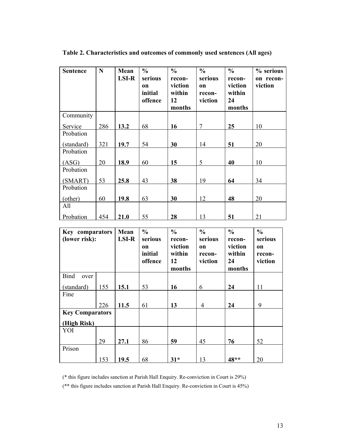| <b>Sentence</b> | $\mathbf N$ | Mean<br><b>LSI-R</b> | $\frac{0}{0}$<br>serious<br>on<br>initial<br>offence | $\frac{0}{0}$<br>recon-<br>viction<br>within<br>12<br>months | $\frac{0}{0}$<br>serious<br><sub>on</sub><br>recon-<br>viction | $\frac{0}{0}$<br>recon-<br>viction<br>within<br>24<br>months | % serious<br>on recon-<br>viction |
|-----------------|-------------|----------------------|------------------------------------------------------|--------------------------------------------------------------|----------------------------------------------------------------|--------------------------------------------------------------|-----------------------------------|
| Community       |             |                      |                                                      |                                                              |                                                                |                                                              |                                   |
| Service         | 286         | 13.2                 | 68                                                   | 16                                                           | $\overline{7}$                                                 | 25                                                           | 10                                |
| Probation       |             |                      |                                                      |                                                              |                                                                |                                                              |                                   |
| (standard)      | 321         | 19.7                 | 54                                                   | 30                                                           | 14                                                             | 51                                                           | 20                                |
| Probation       |             |                      |                                                      |                                                              |                                                                |                                                              |                                   |
| (ASG)           | 20          | 18.9                 | 60                                                   | 15                                                           | 5                                                              | 40                                                           | 10                                |
| Probation       |             |                      |                                                      |                                                              |                                                                |                                                              |                                   |
| (SMART)         | 53          | 25.8                 | 43                                                   | 38                                                           | 19                                                             | 64                                                           | 34                                |
| Probation       |             |                      |                                                      |                                                              |                                                                |                                                              |                                   |
| (other)         | 60          | 19.8                 | 63                                                   | 30                                                           | 12                                                             | 48                                                           | 20                                |
| All             |             |                      |                                                      |                                                              |                                                                |                                                              |                                   |
| Probation       | 454         | 21.0                 | 55                                                   | 28                                                           | 13                                                             | 51                                                           | 21                                |

**Table 2. Characteristics and outcomes of commonly used sentences (All ages)**

| Key comparators<br>(lower risk): |     | Mean<br>LSI-R | $\frac{0}{0}$<br>serious<br>on<br>initial<br>offence | $\frac{0}{0}$<br>recon-<br>viction<br>within<br>12<br>months | $\frac{0}{0}$<br>serious<br><b>on</b><br>recon-<br>viction | $\frac{0}{0}$<br>recon-<br>viction<br>within<br>24<br>months | $\frac{0}{0}$<br>serious<br><b>on</b><br>recon-<br>viction |
|----------------------------------|-----|---------------|------------------------------------------------------|--------------------------------------------------------------|------------------------------------------------------------|--------------------------------------------------------------|------------------------------------------------------------|
| <b>Bind</b><br>over              |     |               |                                                      |                                                              |                                                            |                                                              |                                                            |
| (standard)                       | 155 | 15.1          | 53                                                   | 16                                                           | 6                                                          | 24                                                           | 11                                                         |
| Fine                             |     |               |                                                      |                                                              |                                                            |                                                              |                                                            |
|                                  | 226 | 11.5          | 61                                                   | 13                                                           | $\overline{4}$                                             | 24                                                           | 9                                                          |
| <b>Key Comparators</b>           |     |               |                                                      |                                                              |                                                            |                                                              |                                                            |
| (High Risk)                      |     |               |                                                      |                                                              |                                                            |                                                              |                                                            |
| YOI                              |     |               |                                                      |                                                              |                                                            |                                                              |                                                            |
|                                  | 29  | 27.1          | 86                                                   | 59                                                           | 45                                                         | 76                                                           | 52                                                         |
| Prison                           |     |               |                                                      |                                                              |                                                            |                                                              |                                                            |
|                                  | 153 | 19.5          | 68                                                   | $31*$                                                        | 13                                                         | 48**                                                         | 20                                                         |

(\* this figure includes sanction at Parish Hall Enquiry. Re-conviction in Court is 29%)

(\*\* this figure includes sanction at Parish Hall Enquiry. Re-conviction in Court is 45%)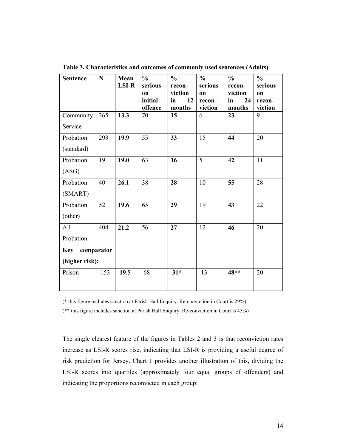| <b>Sentence</b>                  | $\mathbf N$ | Mean<br><b>LSI-R</b> | $\frac{0}{0}$<br>serious<br>on<br>initial<br>offence | $\frac{0}{0}$<br>recon-<br>viction<br>12<br>in<br>months | $\frac{0}{0}$<br>serious<br>on<br>recon-<br>viction | $\frac{0}{0}$<br>recon-<br>viction<br>in<br>24<br>months | $\frac{0}{0}$<br>serious<br>on<br>recon-<br>viction |
|----------------------------------|-------------|----------------------|------------------------------------------------------|----------------------------------------------------------|-----------------------------------------------------|----------------------------------------------------------|-----------------------------------------------------|
| Community<br>Service             | 265         | 13.3                 | 70                                                   | 15                                                       | 6                                                   | 23                                                       | 9                                                   |
| Probation<br>(standard)          | 293         | 19.9                 | 55                                                   | 33                                                       | 15                                                  | 44                                                       | 20                                                  |
| Probation<br>(ASG)               | 19          | 19.0                 | 63                                                   | 16                                                       | $\overline{5}$                                      | 42                                                       | 11                                                  |
| Probation<br>(SMART)             | 40          | 26.1                 | 38                                                   | 28                                                       | 10                                                  | 55                                                       | 28                                                  |
| Probation<br>(other)             | 52          | 19.6                 | 65                                                   | 29                                                       | 19                                                  | 43                                                       | 22                                                  |
| All<br>Probation                 | 404         | 21.2                 | 56                                                   | 27                                                       | 12                                                  | 46                                                       | 20                                                  |
| Key comparator<br>(higher risk): |             |                      |                                                      |                                                          |                                                     |                                                          |                                                     |
| Prison                           | 153         | 19.5                 | 68                                                   | $31*$                                                    | 13                                                  | 48**                                                     | 20                                                  |

**Table 3. Characteristics and outcomes of commonly used sentences (Adults)** 

(\* this figure includes sanction at Parish Hall Enquiry. Re-conviction in Court is 29%)

(\*\* this figure includes sanction at Parish Hall Enquiry. Re-conviction in Court is 45%)

The single clearest feature of the figures in Tables 2 and 3 is that reconviction rates increase as LSI-R scores rise, indicating that LSI-R is providing a useful degree of risk prediction for Jersey. Chart 1 provides another illustration of this, dividing the LSI-R scores into quartiles (approximately four equal groups of offenders) and indicating the proportions reconvicted in each group: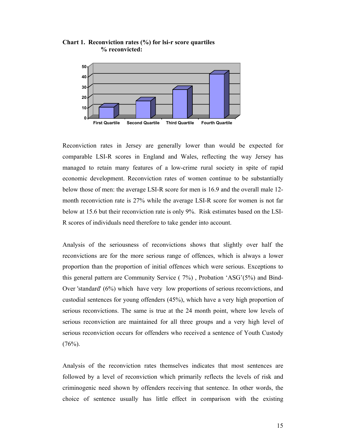

**Chart 1. Reconviction rates (%) for lsi-r score quartiles % reconvicted:** 

Reconviction rates in Jersey are generally lower than would be expected for comparable LSI-R scores in England and Wales, reflecting the way Jersey has managed to retain many features of a low-crime rural society in spite of rapid economic development. Reconviction rates of women continue to be substantially below those of men: the average LSI-R score for men is 16.9 and the overall male 12 month reconviction rate is 27% while the average LSI-R score for women is not far below at 15.6 but their reconviction rate is only 9%. Risk estimates based on the LSI-R scores of individuals need therefore to take gender into account.

Analysis of the seriousness of reconvictions shows that slightly over half the reconvictions are for the more serious range of offences, which is always a lower proportion than the proportion of initial offences which were serious. Exceptions to this general pattern are Community Service ( 7%) , Probation 'ASG'(5%) and Bind-Over 'standard' (6%) which have very low proportions of serious reconvictions, and custodial sentences for young offenders (45%), which have a very high proportion of serious reconvictions. The same is true at the 24 month point, where low levels of serious reconviction are maintained for all three groups and a very high level of serious reconviction occurs for offenders who received a sentence of Youth Custody  $(76%)$ .

Analysis of the reconviction rates themselves indicates that most sentences are followed by a level of reconviction which primarily reflects the levels of risk and criminogenic need shown by offenders receiving that sentence. In other words, the choice of sentence usually has little effect in comparison with the existing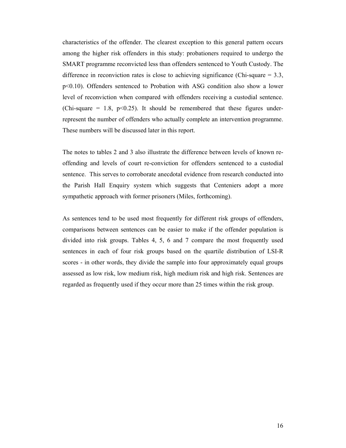characteristics of the offender. The clearest exception to this general pattern occurs among the higher risk offenders in this study: probationers required to undergo the SMART programme reconvicted less than offenders sentenced to Youth Custody. The difference in reconviction rates is close to achieving significance (Chi-square  $= 3.3$ , p<0.10). Offenders sentenced to Probation with ASG condition also show a lower level of reconviction when compared with offenders receiving a custodial sentence. (Chi-square  $= 1.8$ , p<0.25). It should be remembered that these figures underrepresent the number of offenders who actually complete an intervention programme. These numbers will be discussed later in this report.

The notes to tables 2 and 3 also illustrate the difference between levels of known reoffending and levels of court re-conviction for offenders sentenced to a custodial sentence. This serves to corroborate anecdotal evidence from research conducted into the Parish Hall Enquiry system which suggests that Centeniers adopt a more sympathetic approach with former prisoners (Miles, forthcoming).

As sentences tend to be used most frequently for different risk groups of offenders, comparisons between sentences can be easier to make if the offender population is divided into risk groups. Tables 4, 5, 6 and 7 compare the most frequently used sentences in each of four risk groups based on the quartile distribution of LSI-R scores - in other words, they divide the sample into four approximately equal groups assessed as low risk, low medium risk, high medium risk and high risk. Sentences are regarded as frequently used if they occur more than 25 times within the risk group.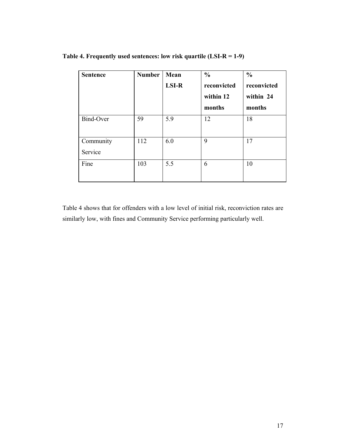| <b>Sentence</b>      | <b>Number</b> | Mean<br><b>LSI-R</b> | $\frac{0}{0}$<br>reconvicted<br>within 12<br>months | $\frac{0}{0}$<br>reconvicted<br>within 24<br>months |
|----------------------|---------------|----------------------|-----------------------------------------------------|-----------------------------------------------------|
| Bind-Over            | 59            | 5.9                  | 12                                                  | 18                                                  |
| Community<br>Service | 112           | 6.0                  | 9                                                   | 17                                                  |
| Fine                 | 103           | 5.5                  | 6                                                   | 10                                                  |

**Table 4. Frequently used sentences: low risk quartile (LSI-R = 1-9)** 

Table 4 shows that for offenders with a low level of initial risk, reconviction rates are similarly low, with fines and Community Service performing particularly well.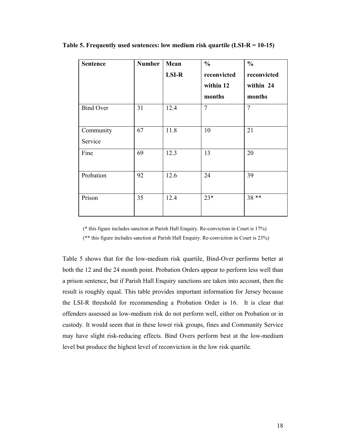| <b>Sentence</b>      | <b>Number</b> | Mean<br><b>LSI-R</b> | $\frac{0}{0}$<br>reconvicted<br>within 12<br>months | $\frac{0}{0}$<br>reconvicted<br>within 24<br>months |
|----------------------|---------------|----------------------|-----------------------------------------------------|-----------------------------------------------------|
| <b>Bind Over</b>     | 31            | 12.4                 | $\overline{7}$                                      | $\overline{7}$                                      |
| Community<br>Service | 67            | 11.8                 | 10                                                  | 21                                                  |
| Fine                 | 69            | 12.3                 | 13                                                  | 20                                                  |
| Probation            | 92            | 12.6                 | 24                                                  | 39                                                  |
| Prison               | 35            | 12.4                 | $23*$                                               | 38 **                                               |

**Table 5. Frequently used sentences: low medium risk quartile (LSI-R = 10-15)** 

(\* this figure includes sanction at Parish Hall Enquiry. Re-conviction in Court is 17%)

(\*\* this figure includes sanction at Parish Hall Enquiry. Re-conviction in Court is 23%)

Table 5 shows that for the low-medium risk quartile, Bind-Over performs better at both the 12 and the 24 month point. Probation Orders appear to perform less well than a prison sentence, but if Parish Hall Enquiry sanctions are taken into account, then the result is roughly equal. This table provides important information for Jersey because the LSI-R threshold for recommending a Probation Order is 16. It is clear that offenders assessed as low-medium risk do not perform well, either on Probation or in custody. It would seem that in these lower risk groups, fines and Community Service may have slight risk-reducing effects. Bind Overs perform best at the low-medium level but produce the highest level of reconviction in the low risk quartile.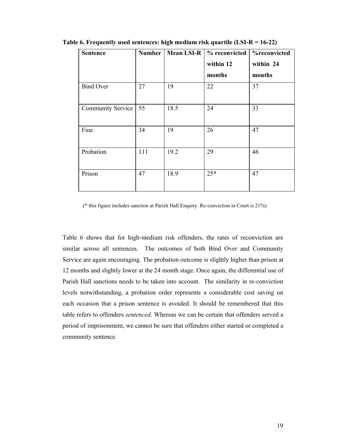| <b>Sentence</b>          | Number | <b>Mean LSI-R</b> | % reconvicted | %reconvicted |
|--------------------------|--------|-------------------|---------------|--------------|
|                          |        |                   | within 12     | within 24    |
|                          |        |                   | months        | months       |
| <b>Bind Over</b>         | 27     | 19                | 22            | 37           |
| <b>Community Service</b> | 55     | 18.5              | 24            | 33           |
| Fine                     | 34     | 19                | 26            | 47           |
| Probation                | 111    | 19.2              | 29            | 46           |
| Prison                   | 47     | 18.9              | $25*$         | 47           |

**Table 6. Frequently used sentences: high medium risk quartile (LSI-R = 16-22)** 

(\* this figure includes sanction at Parish Hall Enquiry. Re-conviction in Court is 21%)

Table 6 shows that for high-medium risk offenders, the rates of reconviction are similar across all sentences. The outcomes of both Bind Over and Community Service are again encouraging. The probation outcome is slightly higher than prison at 12 months and slightly lower at the 24 month stage. Once again, the differential use of Parish Hall sanctions needs to be taken into account. The similarity in re-conviction levels notwithstanding, a probation order represents a considerable cost saving on each occasion that a prison sentence is avoided. It should be remembered that this table refers to offenders *sentenced*. Whereas we can be certain that offenders served a period of imprisonment, we cannot be sure that offenders either started or completed a community sentence.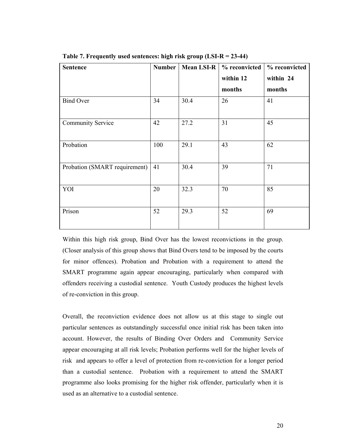| <b>Sentence</b>               | Number | Mean LSI-R | % reconvicted       | % reconvicted       |
|-------------------------------|--------|------------|---------------------|---------------------|
|                               |        |            | within 12<br>months | within 24<br>months |
| <b>Bind Over</b>              | 34     | 30.4       | 26                  | 41                  |
| <b>Community Service</b>      | 42     | 27.2       | 31                  | 45                  |
| Probation                     | 100    | 29.1       | 43                  | 62                  |
| Probation (SMART requirement) | 41     | 30.4       | 39                  | 71                  |
| YOI                           | 20     | 32.3       | 70                  | 85                  |
| Prison                        | 52     | 29.3       | 52                  | 69                  |

**Table 7. Frequently used sentences: high risk group (LSI-R = 23-44)** 

Within this high risk group, Bind Over has the lowest reconvictions in the group. (Closer analysis of this group shows that Bind Overs tend to be imposed by the courts for minor offences). Probation and Probation with a requirement to attend the SMART programme again appear encouraging, particularly when compared with offenders receiving a custodial sentence. Youth Custody produces the highest levels of re-conviction in this group.

Overall, the reconviction evidence does not allow us at this stage to single out particular sentences as outstandingly successful once initial risk has been taken into account. However, the results of Binding Over Orders and Community Service appear encouraging at all risk levels; Probation performs well for the higher levels of risk and appears to offer a level of protection from re-conviction for a longer period than a custodial sentence. Probation with a requirement to attend the SMART programme also looks promising for the higher risk offender, particularly when it is used as an alternative to a custodial sentence.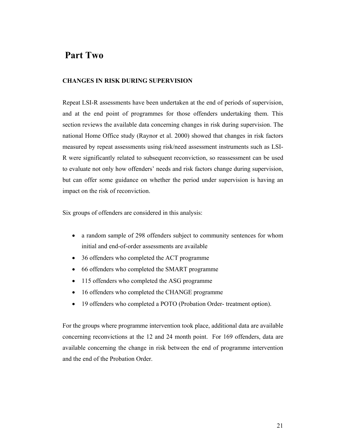## **Part Two**

#### **CHANGES IN RISK DURING SUPERVISION**

Repeat LSI-R assessments have been undertaken at the end of periods of supervision, and at the end point of programmes for those offenders undertaking them. This section reviews the available data concerning changes in risk during supervision. The national Home Office study (Raynor et al. 2000) showed that changes in risk factors measured by repeat assessments using risk/need assessment instruments such as LSI-R were significantly related to subsequent reconviction, so reassessment can be used to evaluate not only how offenders' needs and risk factors change during supervision, but can offer some guidance on whether the period under supervision is having an impact on the risk of reconviction.

Six groups of offenders are considered in this analysis:

- a random sample of 298 offenders subject to community sentences for whom initial and end-of-order assessments are available
- 36 offenders who completed the ACT programme
- 66 offenders who completed the SMART programme
- 115 offenders who completed the ASG programme
- 16 offenders who completed the CHANGE programme
- 19 offenders who completed a POTO (Probation Order- treatment option).

For the groups where programme intervention took place, additional data are available concerning reconvictions at the 12 and 24 month point. For 169 offenders, data are available concerning the change in risk between the end of programme intervention and the end of the Probation Order.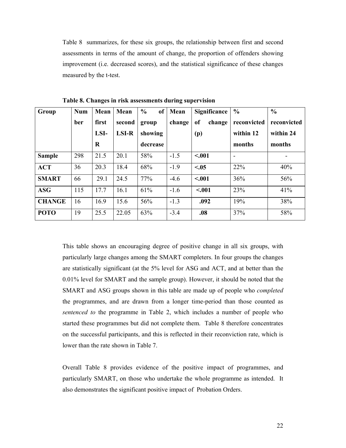Table 8 summarizes, for these six groups, the relationship between first and second assessments in terms of the amount of change, the proportion of offenders showing improvement (i.e. decreased scores), and the statistical significance of these changes measured by the t-test.

| Group         | <b>Num</b> | Mean  | Mean         | $\frac{0}{0}$<br>of | Mean   | <b>Significance</b> | $\frac{0}{0}$ | $\frac{0}{0}$ |
|---------------|------------|-------|--------------|---------------------|--------|---------------------|---------------|---------------|
|               | ber        | first | second       | group               | change | change<br>of        | reconvicted   | reconvicted   |
|               |            | LSI-  | <b>LSI-R</b> | showing             |        | (p)                 | within 12     | within 24     |
|               |            | R     |              | decrease            |        |                     | months        | months        |
| <b>Sample</b> | 298        | 21.5  | 20.1         | 58%                 | $-1.5$ | < .001              |               |               |
| <b>ACT</b>    | 36         | 20.3  | 18.4         | 68%                 | $-1.9$ | < 0.05              | 22%           | 40%           |
| <b>SMART</b>  | 66         | 29.1  | 24.5         | 77%                 | $-4.6$ | < .001              | 36%           | 56%           |
| <b>ASG</b>    | 115        | 17.7  | 16.1         | 61%                 | $-1.6$ | < .001              | 23%           | 41%           |
| <b>CHANGE</b> | 16         | 16.9  | 15.6         | 56%                 | $-1.3$ | .092                | 19%           | 38%           |
| <b>POTO</b>   | 19         | 25.5  | 22.05        | 63%                 | $-3.4$ | .08                 | 37%           | 58%           |

**Table 8. Changes in risk assessments during supervision** 

This table shows an encouraging degree of positive change in all six groups, with particularly large changes among the SMART completers. In four groups the changes are statistically significant (at the 5% level for ASG and ACT, and at better than the 0.01% level for SMART and the sample group). However, it should be noted that the SMART and ASG groups shown in this table are made up of people who *completed* the programmes, and are drawn from a longer time-period than those counted as *sentenced to* the programme in Table 2, which includes a number of people who started these programmes but did not complete them. Table 8 therefore concentrates on the successful participants, and this is reflected in their reconviction rate, which is lower than the rate shown in Table 7.

Overall Table 8 provides evidence of the positive impact of programmes, and particularly SMART, on those who undertake the whole programme as intended. It also demonstrates the significant positive impact of Probation Orders.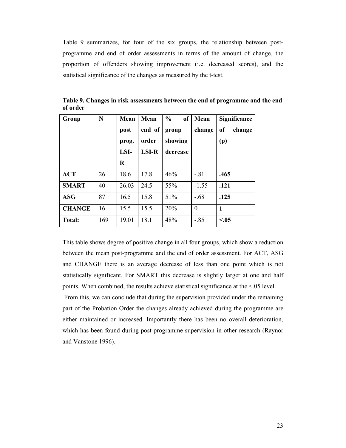Table 9 summarizes, for four of the six groups, the relationship between postprogramme and end of order assessments in terms of the amount of change, the proportion of offenders showing improvement (i.e. decreased scores), and the statistical significance of the changes as measured by the t-test.

| Group         | N   | Mean<br>post<br>prog.<br>LSI-<br>R | Mean<br>end of<br>order<br><b>LSI-R</b> | $\frac{0}{0}$<br><sub>of</sub><br>group<br>showing<br>decrease | Mean<br>change | <b>Significance</b><br>of<br>change<br>(p) |
|---------------|-----|------------------------------------|-----------------------------------------|----------------------------------------------------------------|----------------|--------------------------------------------|
| <b>ACT</b>    | 26  | 18.6                               | 17.8                                    | 46%                                                            | $-81$          | .465                                       |
| <b>SMART</b>  | 40  | 26.03                              | 24.5                                    | 55%                                                            | $-1.55$        | .121                                       |
| <b>ASG</b>    | 87  | 16.5                               | 15.8                                    | 51%                                                            | $-.68$         | .125                                       |
| <b>CHANGE</b> | 16  | 15.5                               | 15.5                                    | 20%                                                            | $\theta$       | $\mathbf{1}$                               |
| <b>Total:</b> | 169 | 19.01                              | 18.1                                    | 48%                                                            | $-.85$         | < 0.05                                     |

**Table 9. Changes in risk assessments between the end of programme and the end of order** 

This table shows degree of positive change in all four groups, which show a reduction between the mean post-programme and the end of order assessment. For ACT, ASG and CHANGE there is an average decrease of less than one point which is not statistically significant. For SMART this decrease is slightly larger at one and half points. When combined, the results achieve statistical significance at the <.05 level.

 From this, we can conclude that during the supervision provided under the remaining part of the Probation Order the changes already achieved during the programme are either maintained or increased. Importantly there has been no overall deterioration, which has been found during post-programme supervision in other research (Raynor and Vanstone 1996).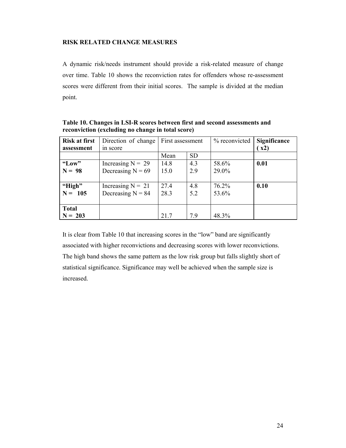#### **RISK RELATED CHANGE MEASURES**

A dynamic risk/needs instrument should provide a risk-related measure of change over time. Table 10 shows the reconviction rates for offenders whose re-assessment scores were different from their initial scores. The sample is divided at the median point.

| <b>Risk at first</b> | Direction of change | First assessment |           | % reconvicted | <b>Significance</b> |
|----------------------|---------------------|------------------|-----------|---------------|---------------------|
| assessment           | in score            |                  |           |               | $\mathbf{x}$ 2)     |
|                      |                     | Mean             | <b>SD</b> |               |                     |
| "Low"                | Increasing $N = 29$ | 14.8             | 4.3       | 58.6%         | 0.01                |
| $N = 98$             | Decreasing $N = 69$ | 15.0             | 2.9       | 29.0%         |                     |
|                      |                     |                  |           |               |                     |
| "High"               | Increasing $N = 21$ | 27.4             | 4.8       | 76.2%         | 0.10                |
| $N = 105$            | Decreasing $N = 84$ | 28.3             | 5.2       | 53.6%         |                     |
|                      |                     |                  |           |               |                     |
| <b>Total</b>         |                     |                  |           |               |                     |
| $N = 203$            |                     | 21.7             | 7.9       | 48.3%         |                     |

**Table 10. Changes in LSI-R scores between first and second assessments and reconviction (excluding no change in total score)** 

It is clear from Table 10 that increasing scores in the "low" band are significantly associated with higher reconvictions and decreasing scores with lower reconvictions. The high band shows the same pattern as the low risk group but falls slightly short of statistical significance. Significance may well be achieved when the sample size is increased.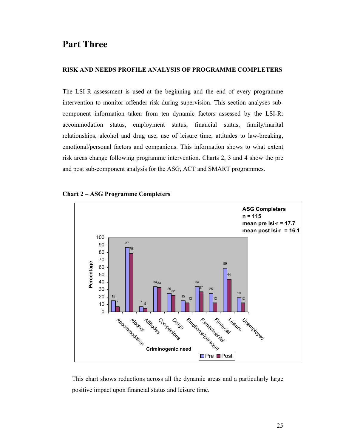## **Part Three**

#### **RISK AND NEEDS PROFILE ANALYSIS OF PROGRAMME COMPLETERS**

The LSI-R assessment is used at the beginning and the end of every programme intervention to monitor offender risk during supervision. This section analyses subcomponent information taken from ten dynamic factors assessed by the LSI-R: accommodation status, employment status, financial status, family/marital relationships, alcohol and drug use, use of leisure time, attitudes to law-breaking, emotional/personal factors and companions. This information shows to what extent risk areas change following programme intervention. Charts 2, 3 and 4 show the pre and post sub-component analysis for the ASG, ACT and SMART programmes.



**Chart 2 – ASG Programme Completers** 

This chart shows reductions across all the dynamic areas and a particularly large positive impact upon financial status and leisure time.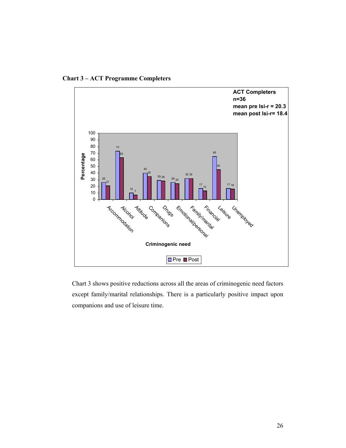**Chart 3 – ACT Programme Completers** 



Chart 3 shows positive reductions across all the areas of criminogenic need factors except family/marital relationships. There is a particularly positive impact upon companions and use of leisure time.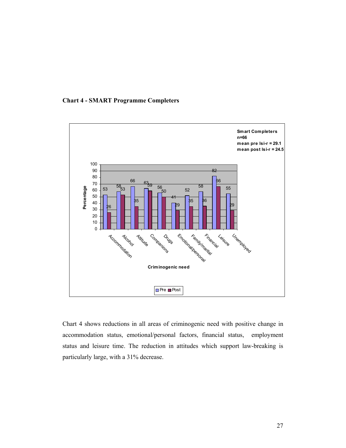



Chart 4 shows reductions in all areas of criminogenic need with positive change in accommodation status, emotional/personal factors, financial status, employment status and leisure time. The reduction in attitudes which support law-breaking is particularly large, with a 31% decrease.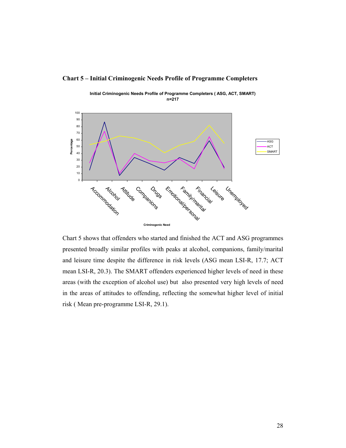#### **Chart 5 – Initial Criminogenic Needs Profile of Programme Completers**



**Initial Criminogenic Needs Profile of Programme Completers ( ASG, ACT, SMART) n=217**

Chart 5 shows that offenders who started and finished the ACT and ASG programmes presented broadly similar profiles with peaks at alcohol, companions, family/marital and leisure time despite the difference in risk levels (ASG mean LSI-R, 17.7; ACT mean LSI-R, 20.3). The SMART offenders experienced higher levels of need in these areas (with the exception of alcohol use) but also presented very high levels of need in the areas of attitudes to offending, reflecting the somewhat higher level of initial risk ( Mean pre-programme LSI-R, 29.1).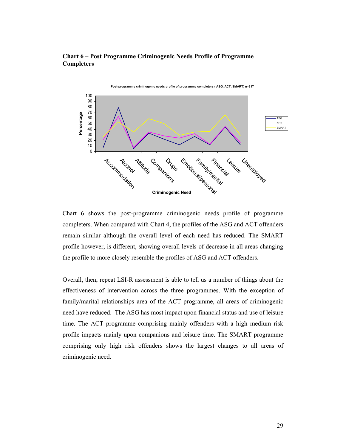#### **Chart 6 – Post Programme Criminogenic Needs Profile of Programme Completers**



Chart 6 shows the post-programme criminogenic needs profile of programme completers. When compared with Chart 4, the profiles of the ASG and ACT offenders remain similar although the overall level of each need has reduced. The SMART profile however, is different, showing overall levels of decrease in all areas changing the profile to more closely resemble the profiles of ASG and ACT offenders.

Overall, then, repeat LSI-R assessment is able to tell us a number of things about the effectiveness of intervention across the three programmes. With the exception of family/marital relationships area of the ACT programme, all areas of criminogenic need have reduced. The ASG has most impact upon financial status and use of leisure time. The ACT programme comprising mainly offenders with a high medium risk profile impacts mainly upon companions and leisure time. The SMART programme comprising only high risk offenders shows the largest changes to all areas of criminogenic need.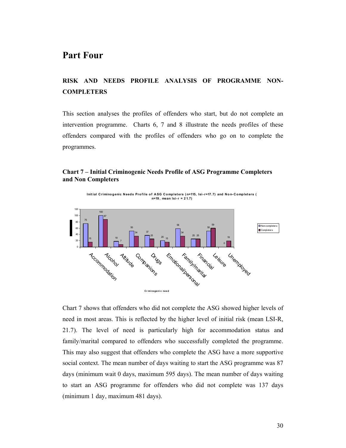## **Part Four**

### **RISK AND NEEDS PROFILE ANALYSIS OF PROGRAMME NON-COMPLETERS**

This section analyses the profiles of offenders who start, but do not complete an intervention programme. Charts 6, 7 and 8 illustrate the needs profiles of these offenders compared with the profiles of offenders who go on to complete the programmes.

#### **Chart 7 – Initial Criminogenic Needs Profile of ASG Programme Completers and Non Completers**



Chart 7 shows that offenders who did not complete the ASG showed higher levels of need in most areas. This is reflected by the higher level of initial risk (mean LSI-R, 21.7). The level of need is particularly high for accommodation status and family/marital compared to offenders who successfully completed the programme. This may also suggest that offenders who complete the ASG have a more supportive social context. The mean number of days waiting to start the ASG programme was 87 days (minimum wait 0 days, maximum 595 days). The mean number of days waiting to start an ASG programme for offenders who did not complete was 137 days (minimum 1 day, maximum 481 days).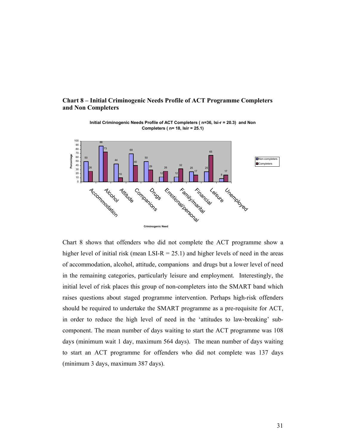#### **Chart 8 – Initial Criminogenic Needs Profile of ACT Programme Completers and Non Completers**



**Initial Criminogenic Needs Profile of ACT Completers ( n=36, lsi-r = 20.3) and Non Completers ( n= 18, lsir = 25.1)**

Chart 8 shows that offenders who did not complete the ACT programme show a higher level of initial risk (mean LSI-R = 25.1) and higher levels of need in the areas of accommodation, alcohol, attitude, companions and drugs but a lower level of need in the remaining categories, particularly leisure and employment. Interestingly, the initial level of risk places this group of non-completers into the SMART band which raises questions about staged programme intervention. Perhaps high-risk offenders should be required to undertake the SMART programme as a pre-requisite for ACT, in order to reduce the high level of need in the 'attitudes to law-breaking' subcomponent. The mean number of days waiting to start the ACT programme was 108 days (minimum wait 1 day, maximum 564 days). The mean number of days waiting to start an ACT programme for offenders who did not complete was 137 days (minimum 3 days, maximum 387 days).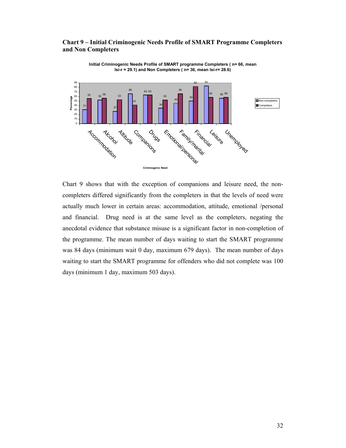#### **Chart 9 – Initial Criminogenic Needs Profile of SMART Programme Completers and Non Completers**



**Initial Criminogenic Needs Profile of SMART programme Completers ( n= 66, mean lsi-r = 29.1) and Non Completers ( n= 36, mean lsi-r= 28.6)**

Chart 9 shows that with the exception of companions and leisure need, the noncompleters differed significantly from the completers in that the levels of need were actually much lower in certain areas: accommodation, attitude, emotional /personal and financial. Drug need is at the same level as the completers, negating the anecdotal evidence that substance misuse is a significant factor in non-completion of the programme. The mean number of days waiting to start the SMART programme was 84 days (minimum wait 0 day, maximum 679 days). The mean number of days waiting to start the SMART programme for offenders who did not complete was 100 days (minimum 1 day, maximum 503 days).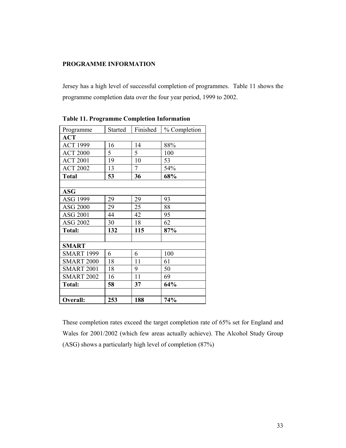#### **PROGRAMME INFORMATION**

Jersey has a high level of successful completion of programmes. Table 11 shows the programme completion data over the four year period, 1999 to 2002.

| Programme         | Started | Finished | % Completion |
|-------------------|---------|----------|--------------|
| <b>ACT</b>        |         |          |              |
| <b>ACT 1999</b>   | 16      | 14       | 88%          |
| <b>ACT 2000</b>   | 5       | 5        | 100          |
| <b>ACT 2001</b>   | 19      | 10       | 53           |
| <b>ACT 2002</b>   | 13      | $\tau$   | 54%          |
| <b>Total</b>      | 53      | 36       | 68%          |
|                   |         |          |              |
| <b>ASG</b>        |         |          |              |
| ASG 1999          | 29      | 29       | 93           |
| <b>ASG 2000</b>   | 29      | 25       | 88           |
| ASG 2001          | 44      | 42       | 95           |
| ASG 2002          | 30      | 18       | 62           |
| <b>Total:</b>     | 132     | 115      | 87%          |
|                   |         |          |              |
| <b>SMART</b>      |         |          |              |
| <b>SMART 1999</b> | 6       | 6        | 100          |
| <b>SMART 2000</b> | 18      | 11       | 61           |
| <b>SMART 2001</b> | 18      | 9        | 50           |
| <b>SMART 2002</b> | 16      | 11       | 69           |
| Total:            | 58      | 37       | 64%          |
|                   |         |          |              |
| Overall:          | 253     | 188      | 74%          |

**Table 11. Programme Completion Information** 

These completion rates exceed the target completion rate of 65% set for England and Wales for 2001/2002 (which few areas actually achieve). The Alcohol Study Group (ASG) shows a particularly high level of completion (87%)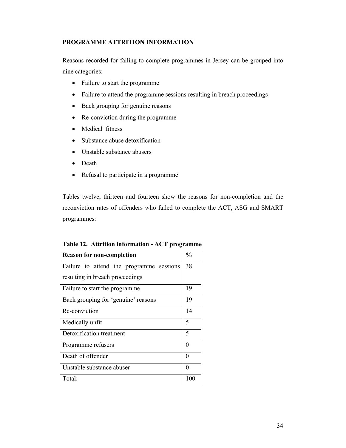#### **PROGRAMME ATTRITION INFORMATION**

Reasons recorded for failing to complete programmes in Jersey can be grouped into nine categories:

- Failure to start the programme
- Failure to attend the programme sessions resulting in breach proceedings
- Back grouping for genuine reasons
- Re-conviction during the programme
- Medical fitness
- Substance abuse detoxification
- Unstable substance abusers
- Death
- Refusal to participate in a programme

Tables twelve, thirteen and fourteen show the reasons for non-completion and the reconviction rates of offenders who failed to complete the ACT, ASG and SMART programmes:

| <b>Reason for non-completion</b>         | $\frac{0}{0}$ |  |  |  |  |
|------------------------------------------|---------------|--|--|--|--|
| Failure to attend the programme sessions | 38            |  |  |  |  |
| resulting in breach proceedings          |               |  |  |  |  |
| Failure to start the programme           | 19            |  |  |  |  |
| Back grouping for 'genuine' reasons      | 19            |  |  |  |  |
| Re-conviction                            |               |  |  |  |  |
| Medically unfit                          |               |  |  |  |  |
| Detoxification treatment                 | 5             |  |  |  |  |
| Programme refusers                       |               |  |  |  |  |
| Death of offender                        | 0             |  |  |  |  |
| Unstable substance abuser                | 0             |  |  |  |  |
| Total:                                   | 100           |  |  |  |  |

**Table 12. Attrition information - ACT programme**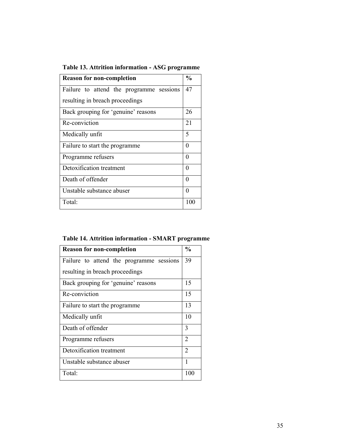| <b>Reason for non-completion</b>         | $\frac{0}{0}$ |  |  |  |  |
|------------------------------------------|---------------|--|--|--|--|
| Failure to attend the programme sessions | 47            |  |  |  |  |
| resulting in breach proceedings          |               |  |  |  |  |
| Back grouping for 'genuine' reasons      | 26            |  |  |  |  |
| Re-conviction                            | 21            |  |  |  |  |
| Medically unfit                          |               |  |  |  |  |
| Failure to start the programme           |               |  |  |  |  |
| Programme refusers                       | 0             |  |  |  |  |
| Detoxification treatment                 |               |  |  |  |  |
| Death of offender                        | 0             |  |  |  |  |
| Unstable substance abuser                | 0             |  |  |  |  |
| Total:                                   | 100           |  |  |  |  |

**Table 14. Attrition information - SMART programme** 

| <b>Reason for non-completion</b>         |     |  |  |  |
|------------------------------------------|-----|--|--|--|
| Failure to attend the programme sessions | 39  |  |  |  |
| resulting in breach proceedings          |     |  |  |  |
| Back grouping for 'genuine' reasons      | 15  |  |  |  |
| Re-conviction                            | 15  |  |  |  |
| Failure to start the programme           |     |  |  |  |
| Medically unfit                          | 10  |  |  |  |
| Death of offender                        | 3   |  |  |  |
| Programme refusers                       |     |  |  |  |
| Detoxification treatment                 |     |  |  |  |
| Unstable substance abuser                | 1   |  |  |  |
| Total:                                   | 100 |  |  |  |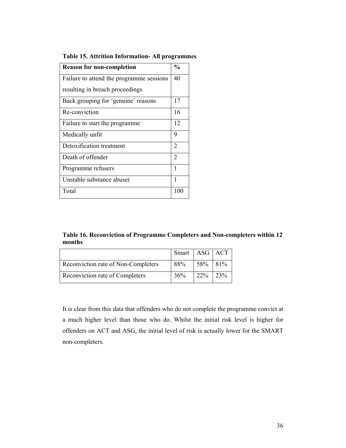| <b>Reason for non-completion</b>         | $\frac{0}{0}$  |
|------------------------------------------|----------------|
| Failure to attend the programme sessions | 40             |
| resulting in breach proceedings          |                |
| Back grouping for 'genuine' reasons      | 17             |
| Re-conviction                            | 16             |
| Failure to start the programme.          | 12             |
| Medically unfit                          | 9              |
| Detoxification treatment                 | $\overline{2}$ |
| Death of offender                        | $\overline{2}$ |
| Programme refusers                       | 1              |
| Unstable substance abuser                | 1              |
| Total                                    | 100            |

**Table 15. Attrition Information- All programmes** 

**Table 16. Reconviction of Programme Completers and Non-completers within 12 months** 

|                                     | Smart   ASG   ACT |             |  |
|-------------------------------------|-------------------|-------------|--|
| Reconviction rate of Non-Completers | 88%               | $58\%$ 81\% |  |
| Reconviction rate of Completers     | 36%               | $22\%$ 23\% |  |

It is clear from this data that offenders who do not complete the programme convict at a much higher level than those who do. Whilst the initial risk level is higher for offenders on ACT and ASG, the initial level of risk is actually lower for the SMART non-completers.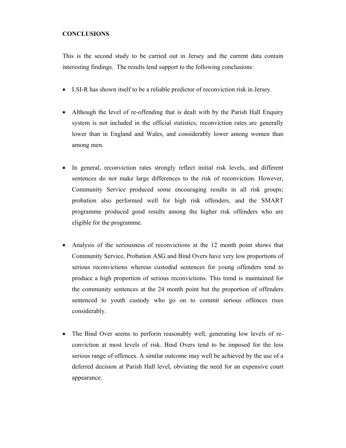#### **CONCLUSIONS**

This is the second study to be carried out in Jersey and the current data contain interesting findings. The results lend support to the following conclusions:

- LSI-R has shown itself to be a reliable predictor of reconviction risk in Jersey.
- Although the level of re-offending that is dealt with by the Parish Hall Enquiry system is not included in the official statistics, reconviction rates are generally lower than in England and Wales, and considerably lower among women than among men.
- In general, reconviction rates strongly reflect initial risk levels, and different sentences do not make large differences to the risk of reconviction. However, Community Service produced some encouraging results in all risk groups; probation also performed well for high risk offenders, and the SMART programme produced good results among the higher risk offenders who are eligible for the programme.
- Analysis of the seriousness of reconvictions at the 12 month point shows that Community Service, Probation ASG and Bind Overs have very low proportions of serious reconvictions whereas custodial sentences for young offenders tend to produce a high proportion of serious reconvictions. This trend is maintained for the community sentences at the 24 month point but the proportion of offenders sentenced to youth custody who go on to commit serious offences rises considerably.
- The Bind Over seems to perform reasonably well, generating low levels of reconviction at most levels of risk. Bind Overs tend to be imposed for the less serious range of offences. A similar outcome may well be achieved by the use of a deferred decision at Parish Hall level, obviating the need for an expensive court appearance.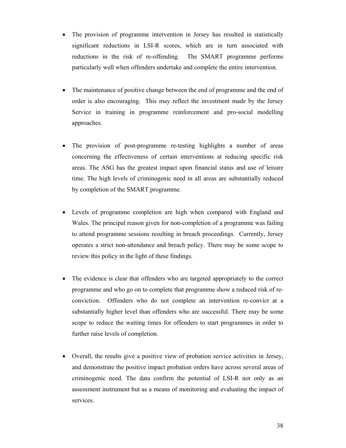- The provision of programme intervention in Jersey has resulted in statistically significant reductions in LSI-R scores, which are in turn associated with reductions in the risk of re-offending. The SMART programme performs particularly well when offenders undertake and complete the entire intervention.
- The maintenance of positive change between the end of programme and the end of order is also encouraging. This may reflect the investment made by the Jersey Service in training in programme reinforcement and pro-social modelling approaches.
- The provision of post-programme re-testing highlights a number of areas concerning the effectiveness of certain interventions at reducing specific risk areas. The ASG has the greatest impact upon financial status and use of leisure time. The high levels of criminogenic need in all areas are substantially reduced by completion of the SMART programme.
- Levels of programme completion are high when compared with England and Wales. The principal reason given for non-completion of a programme was failing to attend programme sessions resulting in breach proceedings. Currently, Jersey operates a strict non-attendance and breach policy. There may be some scope to review this policy in the light of these findings.
- The evidence is clear that offenders who are targeted appropriately to the correct programme and who go on to complete that programme show a reduced risk of reconviction. Offenders who do not complete an intervention re-convict at a substantially higher level than offenders who are successful. There may be some scope to reduce the waiting times for offenders to start programmes in order to further raise levels of completion.
- Overall, the results give a positive view of probation service activities in Jersey, and demonstrate the positive impact probation orders have across several areas of criminogenic need. The data confirm the potential of LSI-R not only as an assessment instrument but as a means of monitoring and evaluating the impact of services.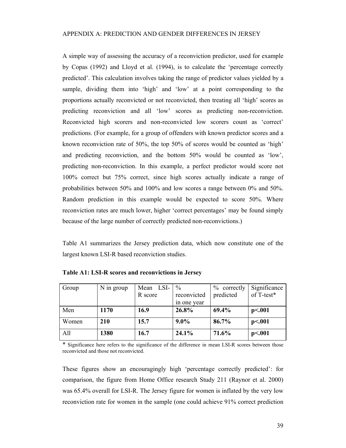A simple way of assessing the accuracy of a reconviction predictor, used for example by Copas (1992) and Lloyd et al. (1994), is to calculate the 'percentage correctly predicted'. This calculation involves taking the range of predictor values yielded by a sample, dividing them into 'high' and 'low' at a point corresponding to the proportions actually reconvicted or not reconvicted, then treating all 'high' scores as predicting reconviction and all 'low' scores as predicting non-reconviction. Reconvicted high scorers and non-reconvicted low scorers count as 'correct' predictions. (For example, for a group of offenders with known predictor scores and a known reconviction rate of 50%, the top 50% of scores would be counted as 'high' and predicting reconviction, and the bottom 50% would be counted as 'low', predicting non-reconviction. In this example, a perfect predictor would score not 100% correct but 75% correct, since high scores actually indicate a range of probabilities between 50% and 100% and low scores a range between 0% and 50%. Random prediction in this example would be expected to score 50%. Where reconviction rates are much lower, higher 'correct percentages' may be found simply because of the large number of correctly predicted non-reconvictions.)

Table A1 summarizes the Jersey prediction data, which now constitute one of the largest known LSI-R based reconviction studies.

| Group | N in group | Mean LSI- | $\frac{0}{0}$ | $%$ correctly | Significance |
|-------|------------|-----------|---------------|---------------|--------------|
|       |            | R score   | reconvicted   | predicted     | of T-test*   |
|       |            |           | in one year   |               |              |
| Men   | 1170       | 16.9      | 26.8%         | 69.4%         | p<.001       |
| Women | <b>210</b> | 15.7      | $9.0\%$       | 86.7%         | p<.001       |
| All   | 1380       | 16.7      | 24.1%         | 71.6%         | p<.001       |

**Table A1: LSI-R scores and reconvictions in Jersey** 

\* Significance here refers to the significance of the difference in mean LSI-R scores between those reconvicted and those not reconvicted.

These figures show an encouragingly high 'percentage correctly predicted': for comparison, the figure from Home Office research Study 211 (Raynor et al. 2000) was 65.4% overall for LSI-R. The Jersey figure for women is inflated by the very low reconviction rate for women in the sample (one could achieve 91% correct prediction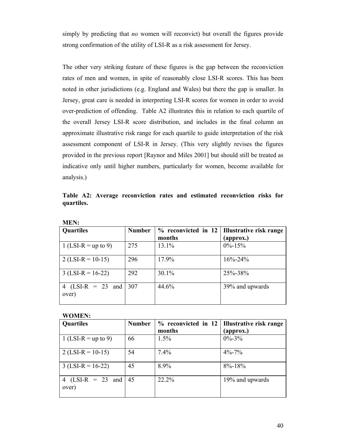simply by predicting that *no* women will reconvict) but overall the figures provide strong confirmation of the utility of LSI-R as a risk assessment for Jersey.

The other very striking feature of these figures is the gap between the reconviction rates of men and women, in spite of reasonably close LSI-R scores. This has been noted in other jurisdictions (e.g. England and Wales) but there the gap is smaller. In Jersey, great care is needed in interpreting LSI-R scores for women in order to avoid over-prediction of offending. Table A2 illustrates this in relation to each quartile of the overall Jersey LSI-R score distribution, and includes in the final column an approximate illustrative risk range for each quartile to guide interpretation of the risk assessment component of LSI-R in Jersey. (This very slightly revises the figures provided in the previous report [Raynor and Miles 2001] but should still be treated as indicative only until higher numbers, particularly for women, become available for analysis.)

**Table A2: Average reconviction rates and estimated reconviction risks for quartiles.** 

| <b>Quartiles</b>                   | <b>Number</b> | months | $\%$ reconvicted in 12 Illustrative risk range<br>(approx.) |
|------------------------------------|---------------|--------|-------------------------------------------------------------|
| 1 (LSI-R = up to 9)                | 275           | 13.1%  | $0\% - 15\%$                                                |
| $2$ (LSI-R = 10-15)                | 296           | 17.9%  | $16\% - 24\%$                                               |
| $3$ (LSI-R = 16-22)                | 292           | 30.1%  | $25\% - 38\%$                                               |
| (LSI-R = 23 and 307)<br>4<br>over) |               | 44.6%  | 39% and upwards                                             |

**MEN:** 

#### **WOMEN:**

| Quartiles                    | <b>Number</b> |        | $\%$ reconvicted in 12   Illustrative risk range |
|------------------------------|---------------|--------|--------------------------------------------------|
|                              |               | months | (approx.)                                        |
| 1 (LSI-R = up to 9)          | 66            | 1.5%   | $0\% - 3\%$                                      |
| $2$ (LSI-R = 10-15)          | 54            | 7.4%   | $4\% - 7\%$                                      |
| $3$ (LSI-R = 16-22)          | 45            | 8.9%   | $8\% - 18\%$                                     |
| 4 $(LSI-R = 23$ and<br>over) | 45            | 22.2%  | 19% and upwards                                  |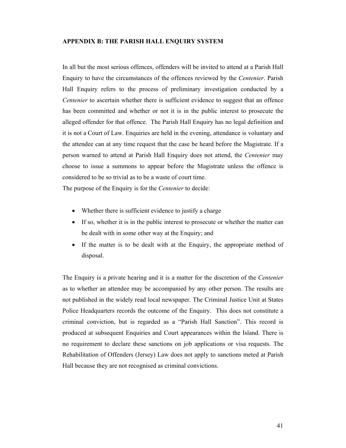#### **APPENDIX B: THE PARISH HALL ENQUIRY SYSTEM**

In all but the most serious offences, offenders will be invited to attend at a Parish Hall Enquiry to have the circumstances of the offences reviewed by the *Centenier*. Parish Hall Enquiry refers to the process of preliminary investigation conducted by a *Centenier* to ascertain whether there is sufficient evidence to suggest that an offence has been committed and whether or not it is in the public interest to prosecute the alleged offender for that offence. The Parish Hall Enquiry has no legal definition and it is not a Court of Law. Enquiries are held in the evening, attendance is voluntary and the attendee can at any time request that the case be heard before the Magistrate. If a person warned to attend at Parish Hall Enquiry does not attend, the *Centenier* may choose to issue a summons to appear before the Magistrate unless the offence is considered to be so trivial as to be a waste of court time.

The purpose of the Enquiry is for the *Centenier* to decide:

- Whether there is sufficient evidence to justify a charge
- If so, whether it is in the public interest to prosecute or whether the matter can be dealt with in some other way at the Enquiry; and
- If the matter is to be dealt with at the Enquiry, the appropriate method of disposal.

The Enquiry is a private hearing and it is a matter for the discretion of the *Centenier* as to whether an attendee may be accompanied by any other person. The results are not published in the widely read local newspaper. The Criminal Justice Unit at States Police Headquarters records the outcome of the Enquiry. This does not constitute a criminal conviction, but is regarded as a "Parish Hall Sanction". This record is produced at subsequent Enquiries and Court appearances within the Island. There is no requirement to declare these sanctions on job applications or visa requests. The Rehabilitation of Offenders (Jersey) Law does not apply to sanctions meted at Parish Hall because they are not recognised as criminal convictions.